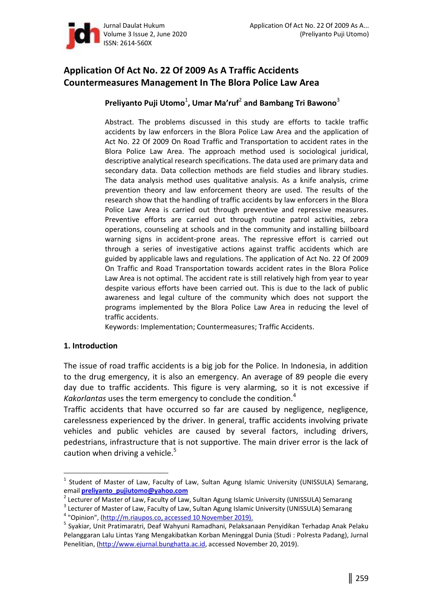

# **Application Of Act No. 22 Of 2009 As A Traffic Accidents Countermeasures Management In The Blora Police Law Area**

# **Preliyanto Puji Utomo**<sup>1</sup> **Uhu-åD-[åµ(**<sup>2</sup>  **and Bambang Tri Bawono**<sup>3</sup>

Abstract. The problems discussed in this study are efforts to tackle traffic accidents by law enforcers in the Blora Police Law Area and the application of Act No. 22 Of 2009 On Road Traffic and Transportation to accident rates in the Blora Police Law Area. The approach method used is sociological juridical, descriptive analytical research specifications. The data used are primary data and secondary data. Data collection methods are field studies and library studies. The data analysis method uses qualitative analysis. As a knife analysis, crime prevention theory and law enforcement theory are used. The results of the research show that the handling of traffic accidents by law enforcers in the Blora Police Law Area is carried out through preventive and repressive measures. Preventive efforts are carried out through routine patrol activities, zebra operations, counseling at schools and in the community and installing biilboard warning signs in accident-prone areas. The repressive effort is carried out through a series of investigative actions against traffic accidents which are guided by applicable laws and regulations. The application of Act No. 22 Of 2009 On Traffic and Road Transportation towards accident rates in the Blora Police Law Area is not optimal. The accident rate is still relatively high from year to year despite various efforts have been carried out. This is due to the lack of public awareness and legal culture of the community which does not support the programs implemented by the Blora Police Law Area in reducing the level of traffic accidents.

Keywords: Implementation; Countermeasures; Traffic Accidents.

#### **1. Introduction**

 $\overline{a}$ 

The issue of road traffic accidents is a big job for the Police. In Indonesia, in addition to the drug emergency, it is also an emergency. An average of 89 people die every day due to traffic accidents. This figure is very alarming, so it is not excessive if *Kakorlantas* uses the term emergency to conclude the condition.<sup>4</sup>

Traffic accidents that have occurred so far are caused by negligence, negligence, carelessness experienced by the driver. In general, traffic accidents involving private vehicles and public vehicles are caused by several factors, including drivers, pedestrians, infrastructure that is not supportive. The main driver error is the lack of caution when driving a vehicle. $5$ 

<sup>&</sup>lt;sup>1</sup> Student of Master of Law, Faculty of Law, Sultan Agung Islamic University (UNISSULA) Semarang, email **preliyanto\_pujiutomo@yahoo.com**

<sup>&</sup>lt;sup>2</sup> Lecturer of Master of Law, Faculty of Law, Sultan Agung Islamic University (UNISSULA) Semarang

<sup>&</sup>lt;sup>3</sup> Lecturer of Master of Law, Faculty of Law, Sultan Agung Islamic University (UNISSULA) Semarang

<sup>&</sup>lt;sup>4</sup> "Opinion", (http://m.riaupos.co, accessed 10 November 2019).

<sup>&</sup>lt;sup>5</sup> Syakiar, Unit Pratimaratri, Deaf Wahyuni Ramadhani, Pelaksanaan Penyidikan Terhadap Anak Pelaku Pelanggaran Lalu Lintas Yang Mengakibatkan Korban Meninggal Dunia (Studi : Polresta Padang), Jurnal Penelitian, (http://www.ejurnal.bunghatta.ac.id, accessed November 20, 2019).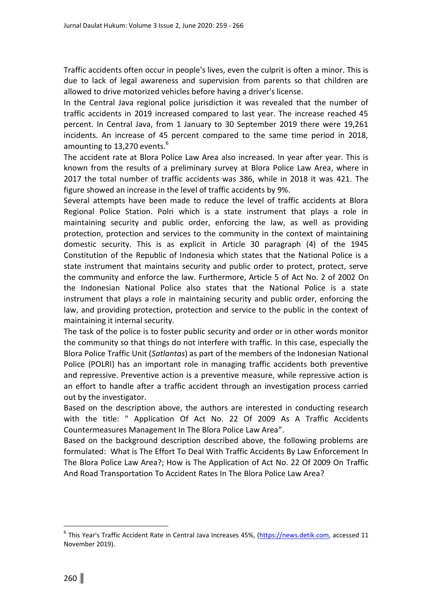Traffic accidents often occur in people's lives, even the culprit is often a minor. This is due to lack of legal awareness and supervision from parents so that children are allowed to drive motorized vehicles before having a driver's license.

In the Central Java regional police jurisdiction it was revealed that the number of traffic accidents in 2019 increased compared to last year. The increase reached 45 percent. In Central Java, from 1 January to 30 September 2019 there were 19,261 incidents. An increase of 45 percent compared to the same time period in 2018, amounting to 13,270 events.<sup>6</sup>

The accident rate at Blora Police Law Area also increased. In year after year. This is known from the results of a preliminary survey at Blora Police Law Area, where in 2017 the total number of traffic accidents was 386, while in 2018 it was 421. The figure showed an increase in the level of traffic accidents by 9%.

Several attempts have been made to reduce the level of traffic accidents at Blora Regional Police Station. Polri which is a state instrument that plays a role in maintaining security and public order, enforcing the law, as well as providing protection, protection and services to the community in the context of maintaining domestic security. This is as explicit in Article 30 paragraph (4) of the 1945 Constitution of the Republic of Indonesia which states that the National Police is a state instrument that maintains security and public order to protect, protect, serve the community and enforce the law. Furthermore, Article 5 of Act No. 2 of 2002 On the Indonesian National Police also states that the National Police is a state instrument that plays a role in maintaining security and public order, enforcing the law, and providing protection, protection and service to the public in the context of maintaining it internal security.

The task of the police is to foster public security and order or in other words monitor the community so that things do not interfere with traffic. In this case, especially the Blora Police Traffic Unit (*Satlantas*) as part of the members of the Indonesian National Police (POLRI) has an important role in managing traffic accidents both preventive and repressive. Preventive action is a preventive measure, while repressive action is an effort to handle after a traffic accident through an investigation process carried out by the investigator.

Based on the description above, the authors are interested in conducting research with the title: " Application Of Act No. 22 Of 2009 As A Traffic Accidents Countermeasures Management In The Blora Police Law Area".

Based on the background description described above, the following problems are formulated: What is The Effort To Deal With Traffic Accidents By Law Enforcement In The Blora Police Law Area?; How is The Application of Act No. 22 Of 2009 On Traffic And Road Transportation To Accident Rates In The Blora Police Law Area?

l.

<sup>&</sup>lt;sup>6</sup> This Year's Traffic Accident Rate in Central Java Increases 45%, (https://news.detik.com, accessed 11 November 2019).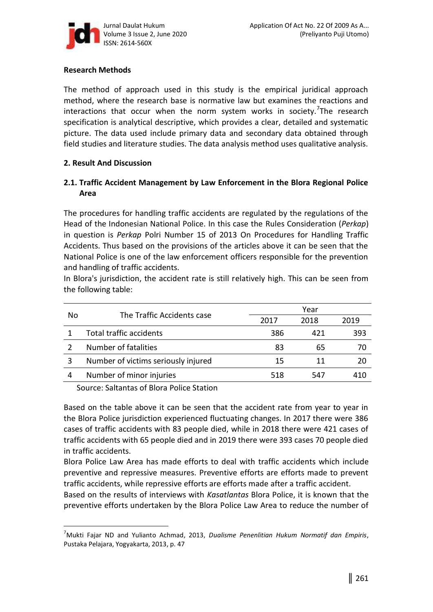

### **Research Methods**

The method of approach used in this study is the empirical juridical approach method, where the research base is normative law but examines the reactions and interactions that occur when the norm system works in society.<sup>7</sup>The research specification is analytical descriptive, which provides a clear, detailed and systematic picture. The data used include primary data and secondary data obtained through field studies and literature studies. The data analysis method uses qualitative analysis.

#### **2. Result And Discussion**

## **2.1. Traffic Accident Management by Law Enforcement in the Blora Regional Police Area**

The procedures for handling traffic accidents are regulated by the regulations of the Head of the Indonesian National Police. In this case the Rules Consideration (*Perkap*) in question is *Perkap* Polri Number 15 of 2013 On Procedures for Handling Traffic Accidents. Thus based on the provisions of the articles above it can be seen that the National Police is one of the law enforcement officers responsible for the prevention and handling of traffic accidents.

In Blora's jurisdiction, the accident rate is still relatively high. This can be seen from the following table:

| No | The Traffic Accidents case          | Year |      |      |
|----|-------------------------------------|------|------|------|
|    |                                     | 2017 | 2018 | 2019 |
|    | <b>Total traffic accidents</b>      | 386  | 421  | 393  |
|    | Number of fatalities                | 83   | 65   |      |
|    | Number of victims seriously injured | 15   | 11   | -20  |
| 4  | Number of minor injuries            | 518  | 547  | 410  |

Source: Saltantas of Blora Police Station

l.

Based on the table above it can be seen that the accident rate from year to year in the Blora Police jurisdiction experienced fluctuating changes. In 2017 there were 386 cases of traffic accidents with 83 people died, while in 2018 there were 421 cases of traffic accidents with 65 people died and in 2019 there were 393 cases 70 people died in traffic accidents.

Blora Police Law Area has made efforts to deal with traffic accidents which include preventive and repressive measures. Preventive efforts are efforts made to prevent traffic accidents, while repressive efforts are efforts made after a traffic accident.

Based on the results of interviews with *Kasatlantas* Blora Police, it is known that the preventive efforts undertaken by the Blora Police Law Area to reduce the number of

<sup>7</sup>Mukti Fajar ND and Yulianto Achmad, 2013, *Dualisme Penenlitian Hukum Normatif dan Empiris*, Pustaka Pelajara, Yogyakarta, 2013, p. 47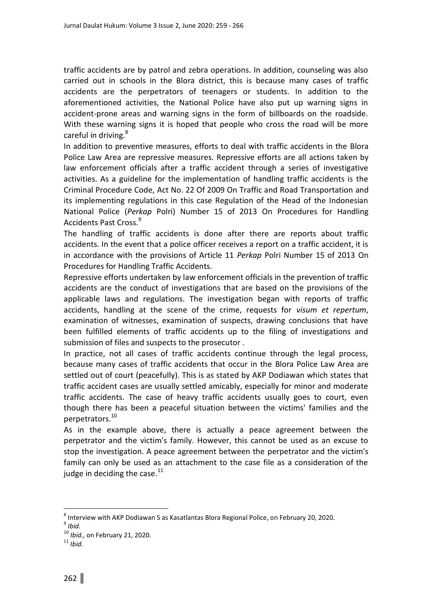traffic accidents are by patrol and zebra operations. In addition, counseling was also carried out in schools in the Blora district, this is because many cases of traffic accidents are the perpetrators of teenagers or students. In addition to the aforementioned activities, the National Police have also put up warning signs in accident-prone areas and warning signs in the form of billboards on the roadside. With these warning signs it is hoped that people who cross the road will be more careful in driving.<sup>8</sup>

In addition to preventive measures, efforts to deal with traffic accidents in the Blora Police Law Area are repressive measures. Repressive efforts are all actions taken by law enforcement officials after a traffic accident through a series of investigative activities. As a guideline for the implementation of handling traffic accidents is the Criminal Procedure Code, Act No. 22 Of 2009 On Traffic and Road Transportation and its implementing regulations in this case Regulation of the Head of the Indonesian National Police (*Perkap* Polri) Number 15 of 2013 On Procedures for Handling Accidents Past Cross.<sup>9</sup>

The handling of traffic accidents is done after there are reports about traffic accidents. In the event that a police officer receives a report on a traffic accident, it is in accordance with the provisions of Article 11 *Perkap* Polri Number 15 of 2013 On Procedures for Handling Traffic Accidents.

Repressive efforts undertaken by law enforcement officials in the prevention of traffic accidents are the conduct of investigations that are based on the provisions of the applicable laws and regulations. The investigation began with reports of traffic accidents, handling at the scene of the crime, requests for *visum et repertum*, examination of witnesses, examination of suspects, drawing conclusions that have been fulfilled elements of traffic accidents up to the filing of investigations and submission of files and suspects to the prosecutor .

In practice, not all cases of traffic accidents continue through the legal process, because many cases of traffic accidents that occur in the Blora Police Law Area are settled out of court (peacefully). This is as stated by AKP Dodiawan which states that traffic accident cases are usually settled amicably, especially for minor and moderate traffic accidents. The case of heavy traffic accidents usually goes to court, even though there has been a peaceful situation between the victims' families and the perpetrators.<sup>10</sup>

As in the example above, there is actually a peace agreement between the perpetrator and the victim's family. However, this cannot be used as an excuse to stop the investigation. A peace agreement between the perpetrator and the victim's family can only be used as an attachment to the case file as a consideration of the judge in deciding the case. $^{11}$ 

l.

 $^8$  Interview with AKP Dodiawan S as Kasatlantas Blora Regional Police, on February 20, 2020.

<sup>9</sup> *Ibid.*

<sup>10</sup> *Ibid.,* on February 21, 2020.

<sup>11</sup> *Ibid.*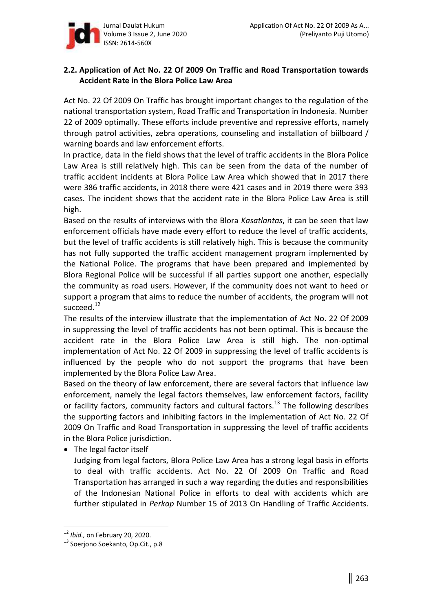

## **2.2. Application of Act No. 22 Of 2009 On Traffic and Road Transportation towards Accident Rate in the Blora Police Law Area**

Act No. 22 Of 2009 On Traffic has brought important changes to the regulation of the national transportation system, Road Traffic and Transportation in Indonesia. Number 22 of 2009 optimally. These efforts include preventive and repressive efforts, namely through patrol activities, zebra operations, counseling and installation of biilboard / warning boards and law enforcement efforts.

In practice, data in the field shows that the level of traffic accidents in the Blora Police Law Area is still relatively high. This can be seen from the data of the number of traffic accident incidents at Blora Police Law Area which showed that in 2017 there were 386 traffic accidents, in 2018 there were 421 cases and in 2019 there were 393 cases. The incident shows that the accident rate in the Blora Police Law Area is still high.

Based on the results of interviews with the Blora *Kasatlantas*, it can be seen that law enforcement officials have made every effort to reduce the level of traffic accidents, but the level of traffic accidents is still relatively high. This is because the community has not fully supported the traffic accident management program implemented by the National Police. The programs that have been prepared and implemented by Blora Regional Police will be successful if all parties support one another, especially the community as road users. However, if the community does not want to heed or support a program that aims to reduce the number of accidents, the program will not succeed.<sup>12</sup>

The results of the interview illustrate that the implementation of Act No. 22 Of 2009 in suppressing the level of traffic accidents has not been optimal. This is because the accident rate in the Blora Police Law Area is still high. The non-optimal implementation of Act No. 22 Of 2009 in suppressing the level of traffic accidents is influenced by the people who do not support the programs that have been implemented by the Blora Police Law Area.

Based on the theory of law enforcement, there are several factors that influence law enforcement, namely the legal factors themselves, law enforcement factors, facility or facility factors, community factors and cultural factors.<sup>13</sup> The following describes the supporting factors and inhibiting factors in the implementation of Act No. 22 Of 2009 On Traffic and Road Transportation in suppressing the level of traffic accidents in the Blora Police jurisdiction.

 $\bullet$  The legal factor itself

Judging from legal factors, Blora Police Law Area has a strong legal basis in efforts to deal with traffic accidents. Act No. 22 Of 2009 On Traffic and Road Transportation has arranged in such a way regarding the duties and responsibilities of the Indonesian National Police in efforts to deal with accidents which are further stipulated in *Perkap* Number 15 of 2013 On Handling of Traffic Accidents.

l.

<sup>12</sup> *Ibid.,* on February 20, 2020.

<sup>&</sup>lt;sup>13</sup> Soerjono Soekanto, Op.Cit., p.8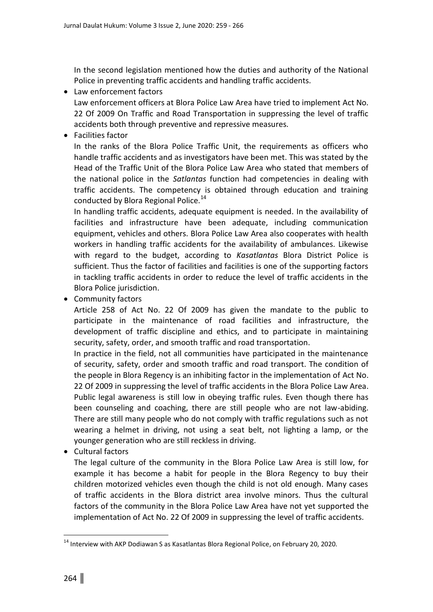In the second legislation mentioned how the duties and authority of the National Police in preventing traffic accidents and handling traffic accidents.

- Law enforcement factors Law enforcement officers at Blora Police Law Area have tried to implement Act No. 22 Of 2009 On Traffic and Road Transportation in suppressing the level of traffic accidents both through preventive and repressive measures.
- $\bullet$  Facilities factor

In the ranks of the Blora Police Traffic Unit, the requirements as officers who handle traffic accidents and as investigators have been met. This was stated by the Head of the Traffic Unit of the Blora Police Law Area who stated that members of the national police in the *Satlantas* function had competencies in dealing with traffic accidents. The competency is obtained through education and training conducted by Blora Regional Police.<sup>14</sup>

In handling traffic accidents, adequate equipment is needed. In the availability of facilities and infrastructure have been adequate, including communication equipment, vehicles and others. Blora Police Law Area also cooperates with health workers in handling traffic accidents for the availability of ambulances. Likewise with regard to the budget, according to *Kasatlantas* Blora District Police is sufficient. Thus the factor of facilities and facilities is one of the supporting factors in tackling traffic accidents in order to reduce the level of traffic accidents in the Blora Police jurisdiction.

• Community factors

Article 258 of Act No. 22 Of 2009 has given the mandate to the public to participate in the maintenance of road facilities and infrastructure, the development of traffic discipline and ethics, and to participate in maintaining security, safety, order, and smooth traffic and road transportation.

In practice in the field, not all communities have participated in the maintenance of security, safety, order and smooth traffic and road transport. The condition of the people in Blora Regency is an inhibiting factor in the implementation of Act No. 22 Of 2009 in suppressing the level of traffic accidents in the Blora Police Law Area. Public legal awareness is still low in obeying traffic rules. Even though there has been counseling and coaching, there are still people who are not law-abiding. There are still many people who do not comply with traffic regulations such as not wearing a helmet in driving, not using a seat belt, not lighting a lamp, or the younger generation who are still reckless in driving.

• Cultural factors

The legal culture of the community in the Blora Police Law Area is still low, for example it has become a habit for people in the Blora Regency to buy their children motorized vehicles even though the child is not old enough. Many cases of traffic accidents in the Blora district area involve minors. Thus the cultural factors of the community in the Blora Police Law Area have not yet supported the implementation of Act No. 22 Of 2009 in suppressing the level of traffic accidents.

 $\overline{a}$ 

<sup>&</sup>lt;sup>14</sup> Interview with AKP Dodiawan S as Kasatlantas Blora Regional Police, on February 20, 2020.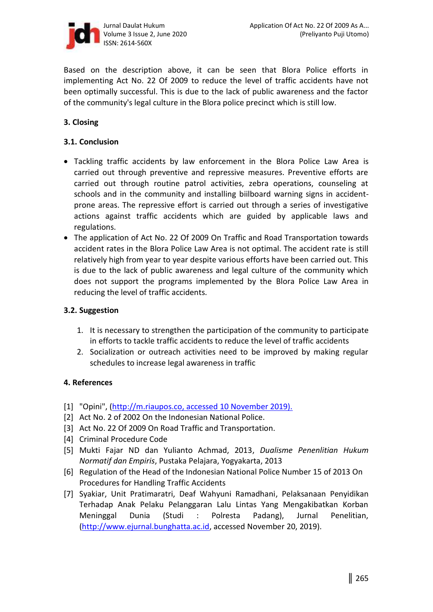

Based on the description above, it can be seen that Blora Police efforts in implementing Act No. 22 Of 2009 to reduce the level of traffic accidents have not been optimally successful. This is due to the lack of public awareness and the factor of the community's legal culture in the Blora police precinct which is still low.

# **3. Closing**

### **3.1. Conclusion**

- Tackling traffic accidents by law enforcement in the Blora Police Law Area is carried out through preventive and repressive measures. Preventive efforts are carried out through routine patrol activities, zebra operations, counseling at schools and in the community and installing biilboard warning signs in accidentprone areas. The repressive effort is carried out through a series of investigative actions against traffic accidents which are guided by applicable laws and regulations.
- The application of Act No. 22 Of 2009 On Traffic and Road Transportation towards accident rates in the Blora Police Law Area is not optimal. The accident rate is still relatively high from year to year despite various efforts have been carried out. This is due to the lack of public awareness and legal culture of the community which does not support the programs implemented by the Blora Police Law Area in reducing the level of traffic accidents.

#### **3.2. Suggestion**

- 1. It is necessary to strengthen the participation of the community to participate in efforts to tackle traffic accidents to reduce the level of traffic accidents
- 2. Socialization or outreach activities need to be improved by making regular schedules to increase legal awareness in traffic

#### **4. References**

- [1] "Opini", (http://m.riaupos.co, accessed 10 November 2019).
- [2] Act No. 2 of 2002 On the Indonesian National Police.
- [3] Act No. 22 Of 2009 On Road Traffic and Transportation.
- [4] Criminal Procedure Code
- [5] Mukti Fajar ND dan Yulianto Achmad, 2013, *Dualisme Penenlitian Hukum Normatif dan Empiris*, Pustaka Pelajara, Yogyakarta, 2013
- [6] Regulation of the Head of the Indonesian National Police Number 15 of 2013 On Procedures for Handling Traffic Accidents
- [7] Syakiar, Unit Pratimaratri, Deaf Wahyuni Ramadhani, Pelaksanaan Penyidikan Terhadap Anak Pelaku Pelanggaran Lalu Lintas Yang Mengakibatkan Korban Meninggal Dunia (Studi : Polresta Padang), Jurnal Penelitian, (http://www.ejurnal.bunghatta.ac.id, accessed November 20, 2019).